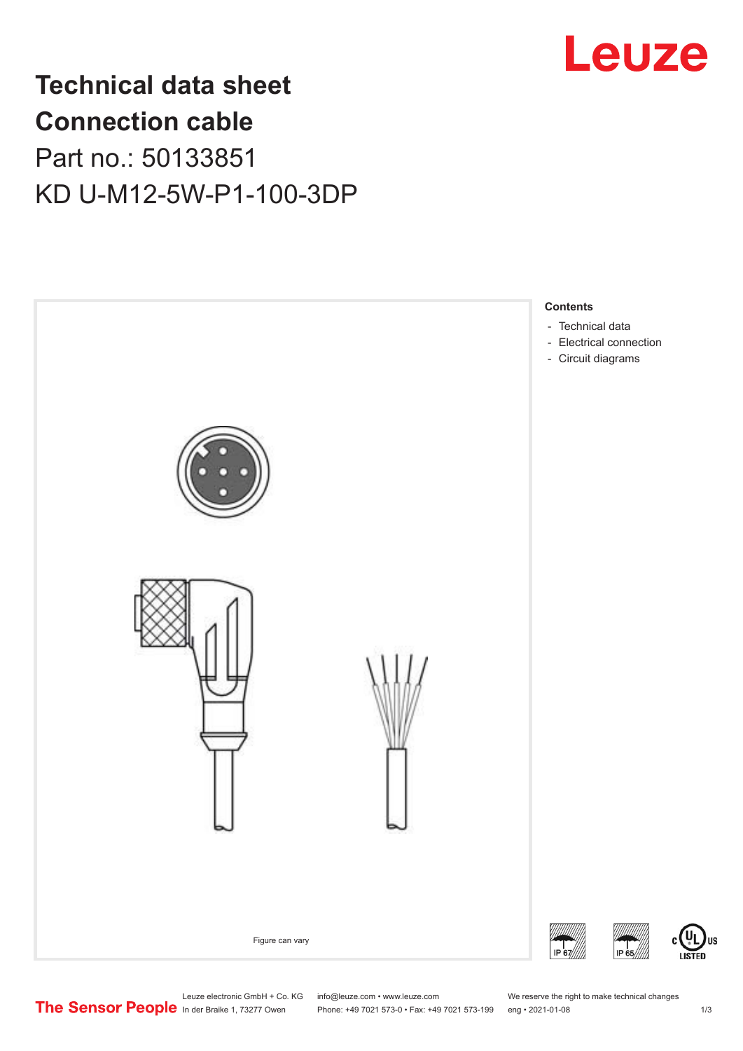

# **Technical data sheet Connection cable** Part no.: 50133851

KD U-M12-5W-P1-100-3DP



US

Leuze electronic GmbH + Co. KG info@leuze.com • www.leuze.com We reserve the right to make technical changes<br>
The Sensor People in der Braike 1, 73277 Owen Phone: +49 7021 573-0 • Fax: +49 7021 573-199 eng • 2021-01-08

Phone: +49 7021 573-0 • Fax: +49 7021 573-199 eng • 2021-01-08 1 m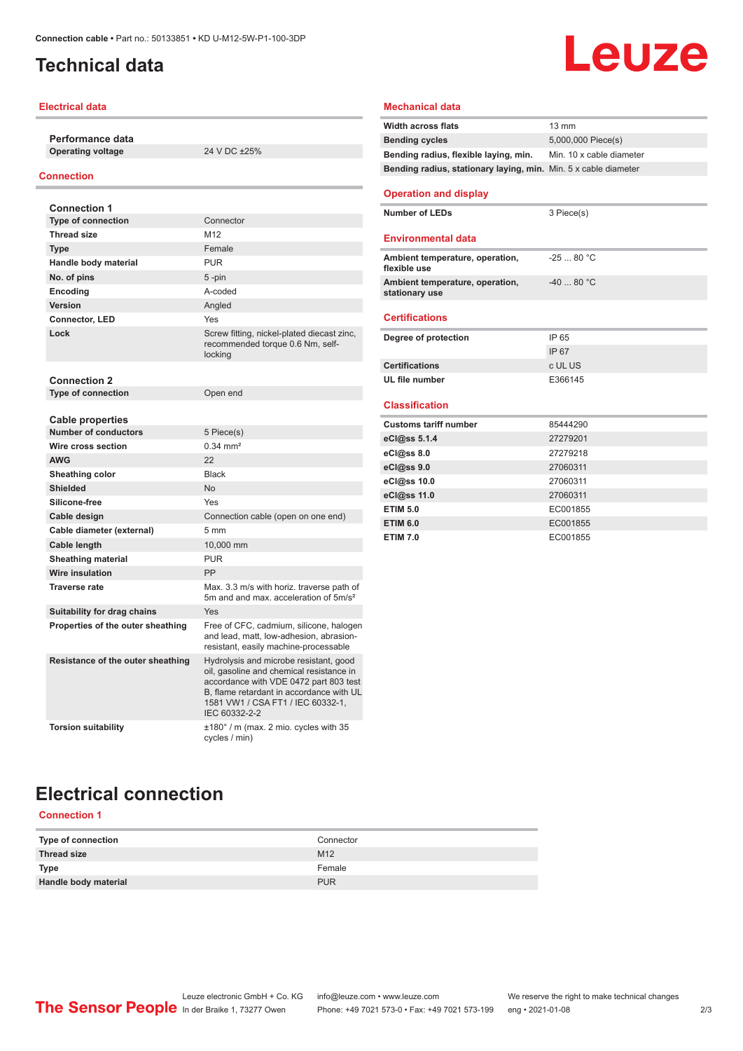# <span id="page-1-0"></span>**Technical data**

#### **Electrical data**

**Performance data Operating voltage** 24 V DC ±25%

#### **Connection**

| <b>Connection 1</b>               |                                                                                                                                                                                                                                |
|-----------------------------------|--------------------------------------------------------------------------------------------------------------------------------------------------------------------------------------------------------------------------------|
| Type of connection                | Connector                                                                                                                                                                                                                      |
| <b>Thread size</b>                | M12                                                                                                                                                                                                                            |
| <b>Type</b>                       | Female                                                                                                                                                                                                                         |
| Handle body material              | <b>PUR</b>                                                                                                                                                                                                                     |
| No. of pins                       | $5$ -pin                                                                                                                                                                                                                       |
| Encoding                          | A-coded                                                                                                                                                                                                                        |
| Version                           | Angled                                                                                                                                                                                                                         |
| <b>Connector, LED</b>             | Yes                                                                                                                                                                                                                            |
| Lock                              | Screw fitting, nickel-plated diecast zinc,<br>recommended torque 0.6 Nm, self-<br>locking                                                                                                                                      |
| <b>Connection 2</b>               |                                                                                                                                                                                                                                |
| <b>Type of connection</b>         | Open end                                                                                                                                                                                                                       |
| <b>Cable properties</b>           |                                                                                                                                                                                                                                |
| <b>Number of conductors</b>       | 5 Piece(s)                                                                                                                                                                                                                     |
| Wire cross section                | $0.34$ mm <sup>2</sup>                                                                                                                                                                                                         |
| <b>AWG</b>                        | 22                                                                                                                                                                                                                             |
| Sheathing color                   | <b>Black</b>                                                                                                                                                                                                                   |
| <b>Shielded</b>                   | N <sub>o</sub>                                                                                                                                                                                                                 |
| Silicone-free                     | Yes                                                                                                                                                                                                                            |
| Cable design                      | Connection cable (open on one end)                                                                                                                                                                                             |
| Cable diameter (external)         | 5 <sub>mm</sub>                                                                                                                                                                                                                |
| Cable length                      | 10,000 mm                                                                                                                                                                                                                      |
| <b>Sheathing material</b>         | <b>PUR</b>                                                                                                                                                                                                                     |
| Wire insulation                   | PP                                                                                                                                                                                                                             |
| <b>Traverse rate</b>              | Max. 3.3 m/s with horiz. traverse path of<br>5m and and max, acceleration of 5m/s <sup>2</sup>                                                                                                                                 |
| Suitability for drag chains       | Yes                                                                                                                                                                                                                            |
| Properties of the outer sheathing | Free of CFC, cadmium, silicone, halogen<br>and lead, matt, low-adhesion, abrasion-<br>resistant, easily machine-processable                                                                                                    |
| Resistance of the outer sheathing | Hydrolysis and microbe resistant, good<br>oil, gasoline and chemical resistance in<br>accordance with VDE 0472 part 803 test<br>B, flame retardant in accordance with UL<br>1581 VW1 / CSA FT1 / IEC 60332-1,<br>IEC 60332-2-2 |
| <b>Torsion suitability</b>        | $\pm 180^\circ$ / m (max. 2 mio. cycles with 35<br>cycles / min)                                                                                                                                                               |

# Leuze

### **Mechanical data**

| <b>Width across flats</b>                                       | $13 \text{ mm}$          |
|-----------------------------------------------------------------|--------------------------|
| <b>Bending cycles</b>                                           | 5,000,000 Piece(s)       |
| Bending radius, flexible laying, min.                           | Min. 10 x cable diameter |
| Bending radius, stationary laying, min. Min. 5 x cable diameter |                          |
| <b>Operation and display</b>                                    |                          |
| <b>Number of LEDs</b>                                           | 3 Piece(s)               |
| <b>Environmental data</b>                                       |                          |
| Ambient temperature, operation,<br>flexible use                 | $-2580 °C$               |
| Ambient temperature, operation,<br>stationary use               | $-4080 °C$               |
| <b>Certifications</b>                                           |                          |
| Degree of protection                                            | IP 65                    |
|                                                                 | IP 67                    |
| <b>Certifications</b>                                           | c UL US                  |
| UL file number                                                  | E366145                  |
| <b>Classification</b>                                           |                          |
| <b>Customs tariff number</b>                                    | 85444290                 |
| eCl@ss 5.1.4                                                    | 27279201                 |
| eCl@ss 8.0                                                      | 27279218                 |
| eCl@ss 9.0                                                      | 27060311                 |
| eCl@ss 10.0                                                     | 27060311                 |
| eCl@ss 11.0                                                     | 27060311                 |
| <b>ETIM 5.0</b>                                                 | EC001855                 |
| <b>ETIM 6.0</b>                                                 | EC001855                 |
| <b>ETIM 7.0</b>                                                 | EC001855                 |

# **Electrical connection**

# **Connection 1**

| Type of connection   | Connector       |
|----------------------|-----------------|
| <b>Thread size</b>   | M <sub>12</sub> |
| <b>Type</b>          | Female          |
| Handle body material | <b>PUR</b>      |